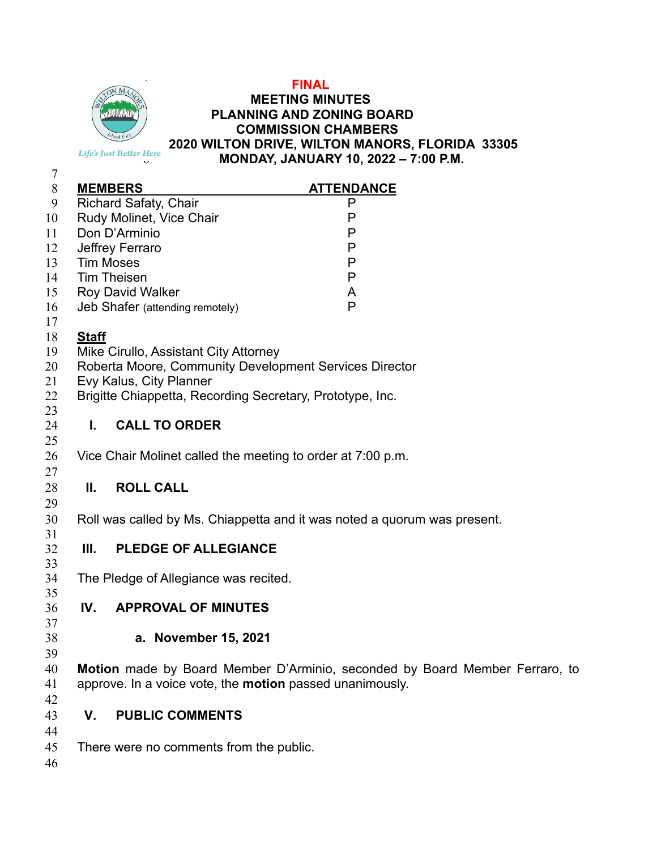

#### **FINAL MEETING MINUTES PLANNING AND ZONING BOARD COMMISSION CHAMBERS 2020 WILTON DRIVE, WILTON MANORS, FLORIDA 33305 MONDAY, JANUARY 10, 2022 – 7:00 P.M.**

| 8      | <b>MEMBERS</b>                  | <b>ATTENDANCE</b> |
|--------|---------------------------------|-------------------|
| 9      | <b>Richard Safaty, Chair</b>    |                   |
| 10     | Rudy Molinet, Vice Chair        |                   |
| 11     | Don D'Arminio                   | Ρ                 |
| 12     | Jeffrey Ferraro                 | Ρ                 |
| 13     | <b>Tim Moses</b>                | Ρ                 |
| 14     | <b>Tim Theisen</b>              | Ρ                 |
| 15     | <b>Roy David Walker</b>         | A                 |
| 16     | Jeb Shafer (attending remotely) | P                 |
| 17     |                                 |                   |
| $\sim$ |                                 |                   |

## **Staff**

- Mike Cirullo, Assistant City Attorney
- Roberta Moore, Community Development Services Director
- Evy Kalus, City Planner
- Brigitte Chiappetta, Recording Secretary, Prototype, Inc.

## **I. CALL TO ORDER**

Vice Chair Molinet called the meeting to order at 7:00 p.m.

## **II. ROLL CALL**

- Roll was called by Ms. Chiappetta and it was noted a quorum was present.
- **III. PLEDGE OF ALLEGIANCE**
- The Pledge of Allegiance was recited.
- 

# **IV. APPROVAL OF MINUTES**

- **a. November 15, 2021**
- **Motion** made by Board Member D'Arminio, seconded by Board Member Ferraro, to approve. In a voice vote, the **motion** passed unanimously.
- 
- **V. PUBLIC COMMENTS**
- 
- There were no comments from the public.
-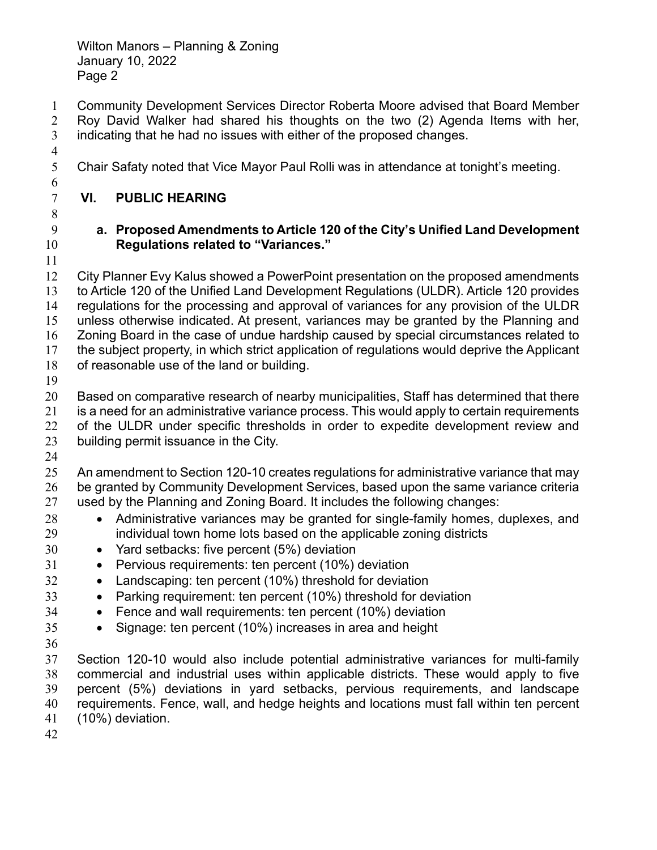- Community Development Services Director Roberta Moore advised that Board Member Roy David Walker had shared his thoughts on the two (2) Agenda Items with her, indicating that he had no issues with either of the proposed changes.
- 
- Chair Safaty noted that Vice Mayor Paul Rolli was in attendance at tonight's meeting.
- **VI. PUBLIC HEARING**
- 

#### **a. Proposed Amendments to Article 120 of the City's Unified Land Development Regulations related to "Variances."**

 City Planner Evy Kalus showed a PowerPoint presentation on the proposed amendments to Article 120 of the Unified Land Development Regulations (ULDR). Article 120 provides regulations for the processing and approval of variances for any provision of the ULDR unless otherwise indicated. At present, variances may be granted by the Planning and Zoning Board in the case of undue hardship caused by special circumstances related to the subject property, in which strict application of regulations would deprive the Applicant of reasonable use of the land or building.

Based on comparative research of nearby municipalities, Staff has determined that there is a need for an administrative variance process. This would apply to certain requirements of the ULDR under specific thresholds in order to expedite development review and building permit issuance in the City.

An amendment to Section 120-10 creates regulations for administrative variance that may be granted by Community Development Services, based upon the same variance criteria used by the Planning and Zoning Board. It includes the following changes:

- 28 Administrative variances may be granted for single-family homes, duplexes, and individual town home lots based on the applicable zoning districts
- Yard setbacks: five percent (5%) deviation
- 31 Pervious requirements: ten percent (10%) deviation
- Landscaping: ten percent (10%) threshold for deviation
- 33 Parking requirement: ten percent (10%) threshold for deviation
- Fence and wall requirements: ten percent (10%) deviation
- Signage: ten percent (10%) increases in area and height
- 

Section 120-10 would also include potential administrative variances for multi-family commercial and industrial uses within applicable districts. These would apply to five percent (5%) deviations in yard setbacks, pervious requirements, and landscape requirements. Fence, wall, and hedge heights and locations must fall within ten percent (10%) deviation.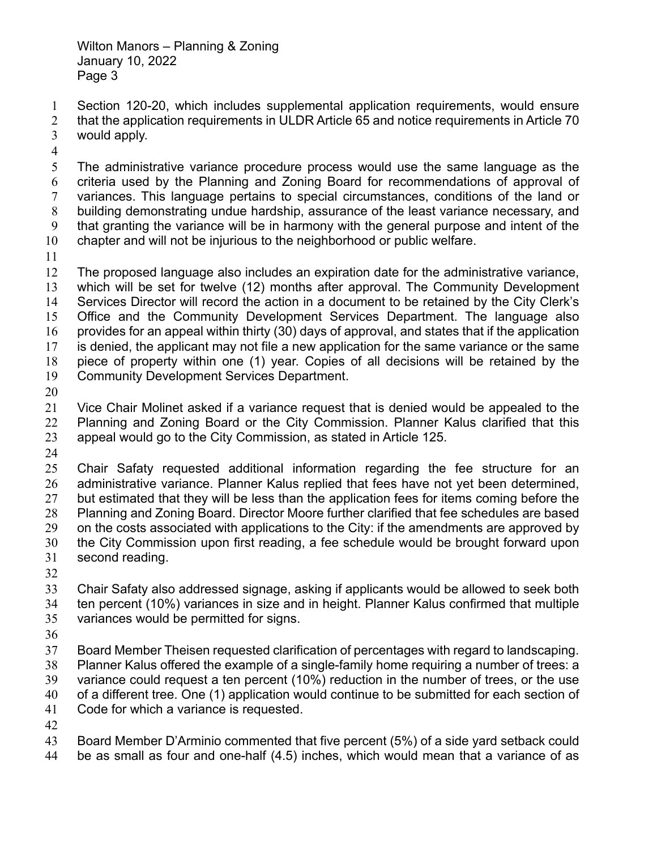Section 120-20, which includes supplemental application requirements, would ensure 2 that the application requirements in ULDR Article 65 and notice requirements in Article 70 would apply.

The administrative variance procedure process would use the same language as the criteria used by the Planning and Zoning Board for recommendations of approval of variances. This language pertains to special circumstances, conditions of the land or building demonstrating undue hardship, assurance of the least variance necessary, and that granting the variance will be in harmony with the general purpose and intent of the chapter and will not be injurious to the neighborhood or public welfare.

The proposed language also includes an expiration date for the administrative variance, which will be set for twelve (12) months after approval. The Community Development Services Director will record the action in a document to be retained by the City Clerk's Office and the Community Development Services Department. The language also provides for an appeal within thirty (30) days of approval, and states that if the application is denied, the applicant may not file a new application for the same variance or the same piece of property within one (1) year. Copies of all decisions will be retained by the Community Development Services Department.

Vice Chair Molinet asked if a variance request that is denied would be appealed to the Planning and Zoning Board or the City Commission. Planner Kalus clarified that this appeal would go to the City Commission, as stated in Article 125.

Chair Safaty requested additional information regarding the fee structure for an administrative variance. Planner Kalus replied that fees have not yet been determined, 27 but estimated that they will be less than the application fees for items coming before the Planning and Zoning Board. Director Moore further clarified that fee schedules are based on the costs associated with applications to the City: if the amendments are approved by the City Commission upon first reading, a fee schedule would be brought forward upon second reading.

Chair Safaty also addressed signage, asking if applicants would be allowed to seek both ten percent (10%) variances in size and in height. Planner Kalus confirmed that multiple variances would be permitted for signs.

Board Member Theisen requested clarification of percentages with regard to landscaping.

Planner Kalus offered the example of a single-family home requiring a number of trees: a

variance could request a ten percent (10%) reduction in the number of trees, or the use of a different tree. One (1) application would continue to be submitted for each section of

Code for which a variance is requested.

Board Member D'Arminio commented that five percent (5%) of a side yard setback could be as small as four and one-half (4.5) inches, which would mean that a variance of as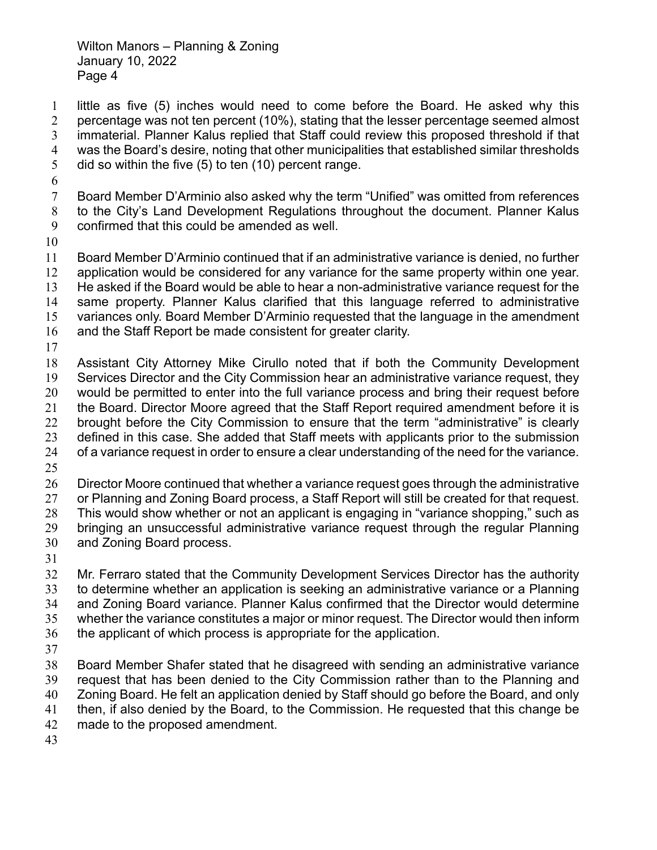little as five (5) inches would need to come before the Board. He asked why this percentage was not ten percent (10%), stating that the lesser percentage seemed almost immaterial. Planner Kalus replied that Staff could review this proposed threshold if that was the Board's desire, noting that other municipalities that established similar thresholds did so within the five (5) to ten (10) percent range.

- Board Member D'Arminio also asked why the term "Unified" was omitted from references to the City's Land Development Regulations throughout the document. Planner Kalus confirmed that this could be amended as well.
- 

Board Member D'Arminio continued that if an administrative variance is denied, no further application would be considered for any variance for the same property within one year. He asked if the Board would be able to hear a non-administrative variance request for the same property. Planner Kalus clarified that this language referred to administrative variances only. Board Member D'Arminio requested that the language in the amendment and the Staff Report be made consistent for greater clarity.

Assistant City Attorney Mike Cirullo noted that if both the Community Development Services Director and the City Commission hear an administrative variance request, they would be permitted to enter into the full variance process and bring their request before the Board. Director Moore agreed that the Staff Report required amendment before it is brought before the City Commission to ensure that the term "administrative" is clearly defined in this case. She added that Staff meets with applicants prior to the submission of a variance request in order to ensure a clear understanding of the need for the variance.

Director Moore continued that whether a variance request goes through the administrative

27 or Planning and Zoning Board process, a Staff Report will still be created for that request.

This would show whether or not an applicant is engaging in "variance shopping," such as

bringing an unsuccessful administrative variance request through the regular Planning

- and Zoning Board process.
- 

Mr. Ferraro stated that the Community Development Services Director has the authority to determine whether an application is seeking an administrative variance or a Planning and Zoning Board variance. Planner Kalus confirmed that the Director would determine whether the variance constitutes a major or minor request. The Director would then inform the applicant of which process is appropriate for the application.

Board Member Shafer stated that he disagreed with sending an administrative variance request that has been denied to the City Commission rather than to the Planning and Zoning Board. He felt an application denied by Staff should go before the Board, and only then, if also denied by the Board, to the Commission. He requested that this change be made to the proposed amendment.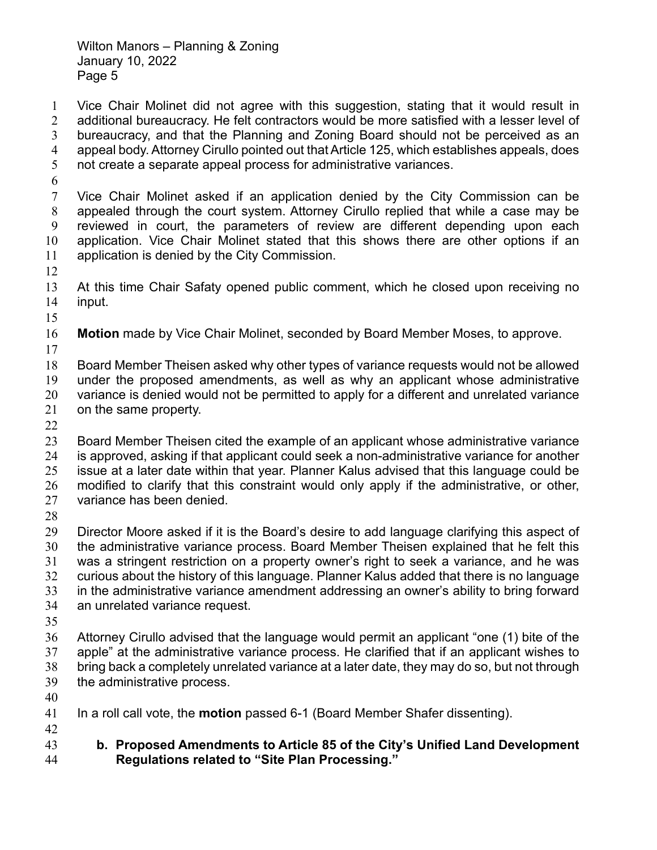Vice Chair Molinet did not agree with this suggestion, stating that it would result in additional bureaucracy. He felt contractors would be more satisfied with a lesser level of bureaucracy, and that the Planning and Zoning Board should not be perceived as an appeal body. Attorney Cirullo pointed out that Article 125, which establishes appeals, does not create a separate appeal process for administrative variances.

Vice Chair Molinet asked if an application denied by the City Commission can be appealed through the court system. Attorney Cirullo replied that while a case may be reviewed in court, the parameters of review are different depending upon each application. Vice Chair Molinet stated that this shows there are other options if an application is denied by the City Commission.

At this time Chair Safaty opened public comment, which he closed upon receiving no input.

**Motion** made by Vice Chair Molinet, seconded by Board Member Moses, to approve.

Board Member Theisen asked why other types of variance requests would not be allowed

under the proposed amendments, as well as why an applicant whose administrative 20 variance is denied would not be permitted to apply for a different and unrelated variance on the same property.

Board Member Theisen cited the example of an applicant whose administrative variance is approved, asking if that applicant could seek a non-administrative variance for another issue at a later date within that year. Planner Kalus advised that this language could be modified to clarify that this constraint would only apply if the administrative, or other, variance has been denied.

Director Moore asked if it is the Board's desire to add language clarifying this aspect of the administrative variance process. Board Member Theisen explained that he felt this was a stringent restriction on a property owner's right to seek a variance, and he was curious about the history of this language. Planner Kalus added that there is no language in the administrative variance amendment addressing an owner's ability to bring forward an unrelated variance request.

Attorney Cirullo advised that the language would permit an applicant "one (1) bite of the apple" at the administrative variance process. He clarified that if an applicant wishes to bring back a completely unrelated variance at a later date, they may do so, but not through the administrative process.

In a roll call vote, the **motion** passed 6-1 (Board Member Shafer dissenting).

**b. Proposed Amendments to Article 85 of the City's Unified Land Development Regulations related to "Site Plan Processing."**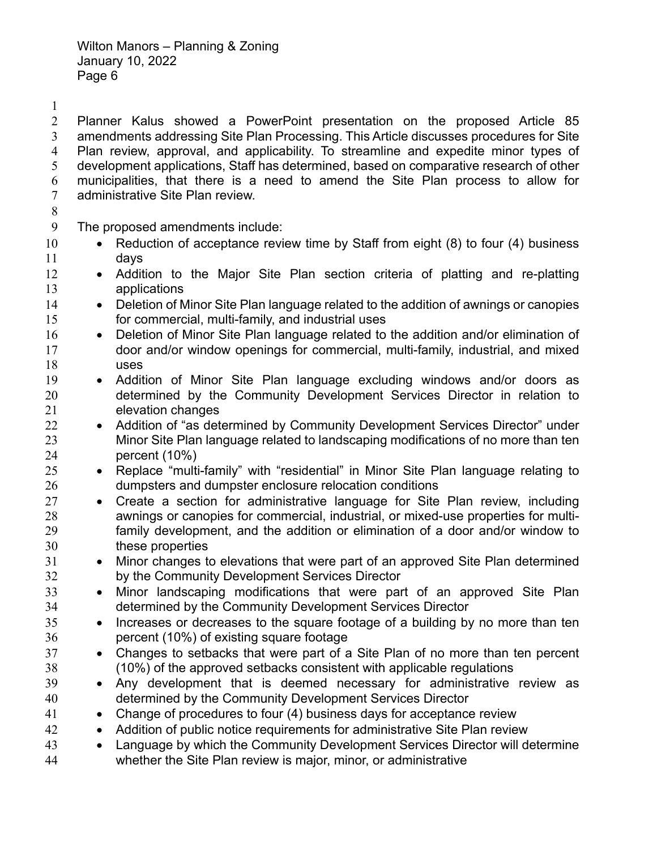Planner Kalus showed a PowerPoint presentation on the proposed Article 85 amendments addressing Site Plan Processing. This Article discusses procedures for Site Plan review, approval, and applicability. To streamline and expedite minor types of development applications, Staff has determined, based on comparative research of other municipalities, that there is a need to amend the Site Plan process to allow for administrative Site Plan review.

#### 

The proposed amendments include:

- 10 Reduction of acceptance review time by Staff from eight (8) to four (4) business days
- 12 Addition to the Major Site Plan section criteria of platting and re-platting applications
- **•** Deletion of Minor Site Plan language related to the addition of awnings or canopies for commercial, multi-family, and industrial uses
- 16 Deletion of Minor Site Plan language related to the addition and/or elimination of door and/or window openings for commercial, multi-family, industrial, and mixed uses
- 19 Addition of Minor Site Plan language excluding windows and/or doors as determined by the Community Development Services Director in relation to elevation changes
- 22 Addition of "as determined by Community Development Services Director" under Minor Site Plan language related to landscaping modifications of no more than ten percent (10%)
- 25 Replace "multi-family" with "residential" in Minor Site Plan language relating to dumpsters and dumpster enclosure relocation conditions
- Create a section for administrative language for Site Plan review, including awnings or canopies for commercial, industrial, or mixed-use properties for multi-family development, and the addition or elimination of a door and/or window to these properties
- 31 Minor changes to elevations that were part of an approved Site Plan determined by the Community Development Services Director
- 33 Minor landscaping modifications that were part of an approved Site Plan determined by the Community Development Services Director
- 35 Increases or decreases to the square footage of a building by no more than ten percent (10%) of existing square footage
- Changes to setbacks that were part of a Site Plan of no more than ten percent (10%) of the approved setbacks consistent with applicable regulations
- Any development that is deemed necessary for administrative review as determined by the Community Development Services Director
- Change of procedures to four (4) business days for acceptance review
- 42 Addition of public notice requirements for administrative Site Plan review
- Language by which the Community Development Services Director will determine whether the Site Plan review is major, minor, or administrative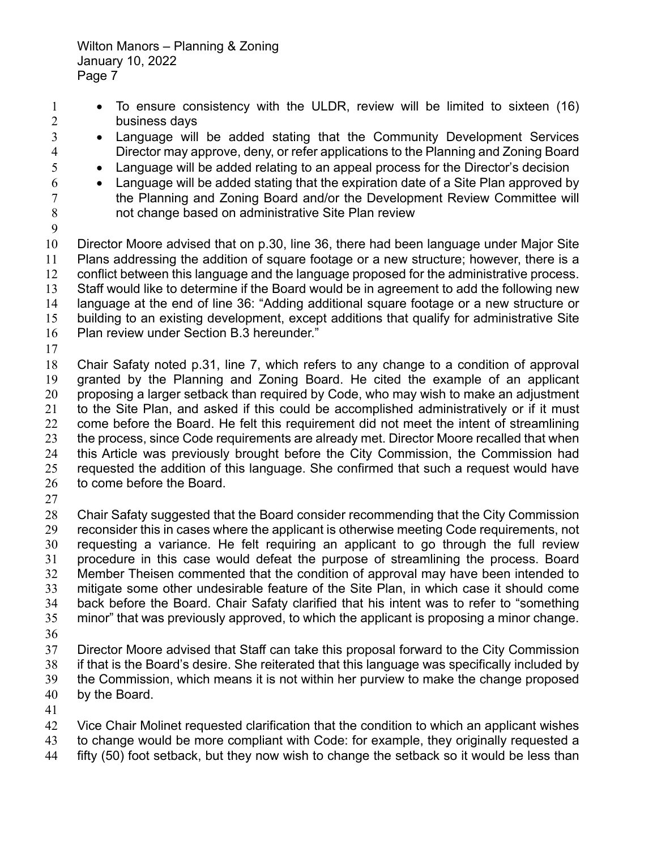- 1 To ensure consistency with the ULDR, review will be limited to sixteen (16) business days
- Language will be added stating that the Community Development Services Director may approve, deny, or refer applications to the Planning and Zoning Board
- Language will be added relating to an appeal process for the Director's decision
- $6 \rightarrow$  Language will be added stating that the expiration date of a Site Plan approved by the Planning and Zoning Board and/or the Development Review Committee will not change based on administrative Site Plan review
- 

Director Moore advised that on p.30, line 36, there had been language under Major Site Plans addressing the addition of square footage or a new structure; however, there is a conflict between this language and the language proposed for the administrative process. Staff would like to determine if the Board would be in agreement to add the following new language at the end of line 36: "Adding additional square footage or a new structure or building to an existing development, except additions that qualify for administrative Site Plan review under Section B.3 hereunder."

Chair Safaty noted p.31, line 7, which refers to any change to a condition of approval granted by the Planning and Zoning Board. He cited the example of an applicant proposing a larger setback than required by Code, who may wish to make an adjustment to the Site Plan, and asked if this could be accomplished administratively or if it must come before the Board. He felt this requirement did not meet the intent of streamlining the process, since Code requirements are already met. Director Moore recalled that when this Article was previously brought before the City Commission, the Commission had requested the addition of this language. She confirmed that such a request would have to come before the Board.

Chair Safaty suggested that the Board consider recommending that the City Commission reconsider this in cases where the applicant is otherwise meeting Code requirements, not requesting a variance. He felt requiring an applicant to go through the full review procedure in this case would defeat the purpose of streamlining the process. Board Member Theisen commented that the condition of approval may have been intended to mitigate some other undesirable feature of the Site Plan, in which case it should come back before the Board. Chair Safaty clarified that his intent was to refer to "something minor" that was previously approved, to which the applicant is proposing a minor change. Director Moore advised that Staff can take this proposal forward to the City Commission

- if that is the Board's desire. She reiterated that this language was specifically included by the Commission, which means it is not within her purview to make the change proposed
- by the Board.
- 

42 Vice Chair Molinet requested clarification that the condition to which an applicant wishes

- to change would be more compliant with Code: for example, they originally requested a
- fifty (50) foot setback, but they now wish to change the setback so it would be less than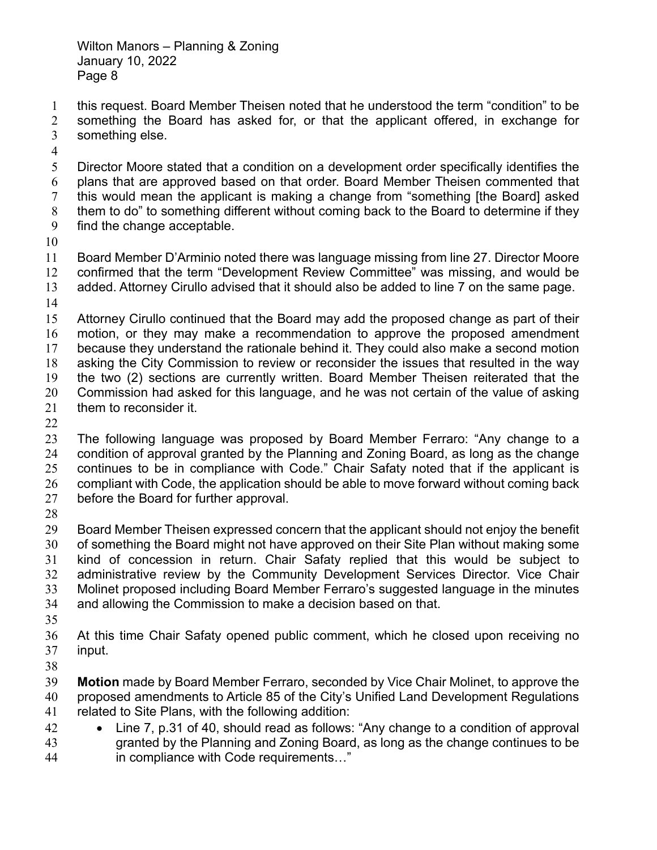this request. Board Member Theisen noted that he understood the term "condition" to be something the Board has asked for, or that the applicant offered, in exchange for something else.

Director Moore stated that a condition on a development order specifically identifies the plans that are approved based on that order. Board Member Theisen commented that this would mean the applicant is making a change from "something [the Board] asked them to do" to something different without coming back to the Board to determine if they

- find the change acceptable.
- 

Board Member D'Arminio noted there was language missing from line 27. Director Moore confirmed that the term "Development Review Committee" was missing, and would be added. Attorney Cirullo advised that it should also be added to line 7 on the same page.

Attorney Cirullo continued that the Board may add the proposed change as part of their motion, or they may make a recommendation to approve the proposed amendment because they understand the rationale behind it. They could also make a second motion asking the City Commission to review or reconsider the issues that resulted in the way the two (2) sections are currently written. Board Member Theisen reiterated that the Commission had asked for this language, and he was not certain of the value of asking them to reconsider it.

The following language was proposed by Board Member Ferraro: "Any change to a condition of approval granted by the Planning and Zoning Board, as long as the change continues to be in compliance with Code." Chair Safaty noted that if the applicant is compliant with Code, the application should be able to move forward without coming back before the Board for further approval.

Board Member Theisen expressed concern that the applicant should not enjoy the benefit of something the Board might not have approved on their Site Plan without making some kind of concession in return. Chair Safaty replied that this would be subject to administrative review by the Community Development Services Director. Vice Chair Molinet proposed including Board Member Ferraro's suggested language in the minutes and allowing the Commission to make a decision based on that.

At this time Chair Safaty opened public comment, which he closed upon receiving no input.

**Motion** made by Board Member Ferraro, seconded by Vice Chair Molinet, to approve the proposed amendments to Article 85 of the City's Unified Land Development Regulations related to Site Plans, with the following addition:

 Line 7, p.31 of 40, should read as follows: "Any change to a condition of approval granted by the Planning and Zoning Board, as long as the change continues to be in compliance with Code requirements…"